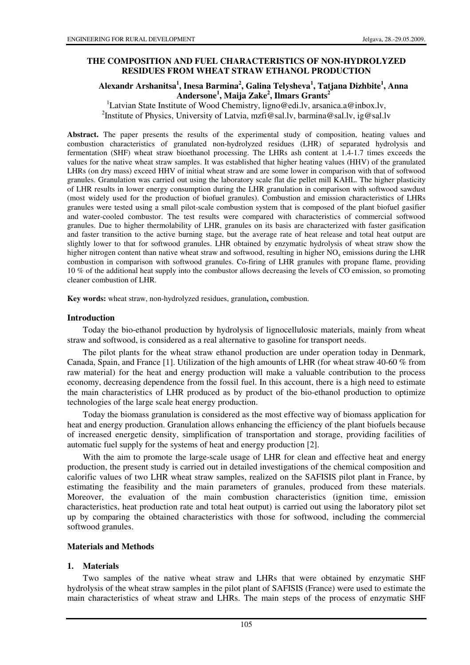## **THE COMPOSITION AND FUEL CHARACTERISTICS OF NON-HYDROLYZED RESIDUES FROM WHEAT STRAW ETHANOL PRODUCTION**

## **Alexandr Arshanitsa<sup>1</sup> , Inesa Barmina<sup>2</sup> , Galina Telysheva<sup>1</sup> , Tatjana Dizhbite<sup>1</sup> , Anna Andersone<sup>1</sup> , Maija Zake<sup>2</sup> , Ilmars Grants<sup>2</sup>**

<sup>1</sup>Latvian State Institute of Wood Chemistry, ligno@edi.lv, arsanica.a@inbox.lv, <sup>2</sup>Institute of Physics, University of Latvia, mzfi@sal.lv, barmina@sal.lv, ig@sal.lv

**Abstract.** The paper presents the results of the experimental study of composition, heating values and combustion characteristics of granulated non-hydrolyzed residues (LHR) of separated hydrolysis and fermentation (SHF) wheat straw bioethanol processing. The LHRs ash content at 1.4-1.7 times exceeds the values for the native wheat straw samples. It was established that higher heating values (HHV) of the granulated LHRs (on dry mass) exceed HHV of initial wheat straw and are some lower in comparison with that of softwood granules. Granulation was carried out using the laboratory scale flat die pellet mill KAHL. The higher plasticity of LHR results in lower energy consumption during the LHR granulation in comparison with softwood sawdust (most widely used for the production of biofuel granules). Combustion and emission characteristics of LHRs granules were tested using a small pilot-scale combustion system that is composed of the plant biofuel gasifier and water-cooled combustor. The test results were compared with characteristics of commercial softwood granules. Due to higher thermolability of LHR, granules on its basis are characterized with faster gasification and faster transition to the active burning stage, but the average rate of heat release and total heat output are slightly lower to that for softwood granules. LHR obtained by enzymatic hydrolysis of wheat straw show the higher nitrogen content than native wheat straw and softwood, resulting in higher  $NO<sub>x</sub>$  emissions during the LHR combustion in comparison with softwood granules. Co-firing of LHR granules with propane flame, providing 10 % of the additional heat supply into the combustor allows decreasing the levels of CO emission, so promoting cleaner combustion of LHR.

**Key words:** wheat straw, non-hydrolyzed residues, granulation**,** combustion.

#### **Introduction**

Today the bio-ethanol production by hydrolysis of lignocellulosic materials, mainly from wheat straw and softwood, is considered as a real alternative to gasoline for transport needs.

The pilot plants for the wheat straw ethanol production are under operation today in Denmark, Canada, Spain, and France [1]. Utilization of the high amounts of LHR (for wheat straw 40-60 % from raw material) for the heat and energy production will make a valuable contribution to the process economy, decreasing dependence from the fossil fuel. In this account, there is a high need to estimate the main characteristics of LHR produced as by product of the bio-ethanol production to optimize technologies of the large scale heat energy production.

Today the biomass granulation is considered as the most effective way of biomass application for heat and energy production. Granulation allows enhancing the efficiency of the plant biofuels because of increased energetic density, simplification of transportation and storage, providing facilities of automatic fuel supply for the systems of heat and energy production [2].

With the aim to promote the large-scale usage of LHR for clean and effective heat and energy production, the present study is carried out in detailed investigations of the chemical composition and calorific values of two LHR wheat straw samples, realized on the SAFISIS pilot plant in France, by estimating the feasibility and the main parameters of granules, produced from these materials. Moreover, the evaluation of the main combustion characteristics (ignition time, emission characteristics, heat production rate and total heat output) is carried out using the laboratory pilot set up by comparing the obtained characteristics with those for softwood, including the commercial softwood granules.

#### **Materials and Methods**

## **1. Materials**

Two samples of the native wheat straw and LHRs that were obtained by enzymatic SHF hydrolysis of the wheat straw samples in the pilot plant of SAFISIS (France) were used to estimate the main characteristics of wheat straw and LHRs. The main steps of the process of enzymatic SHF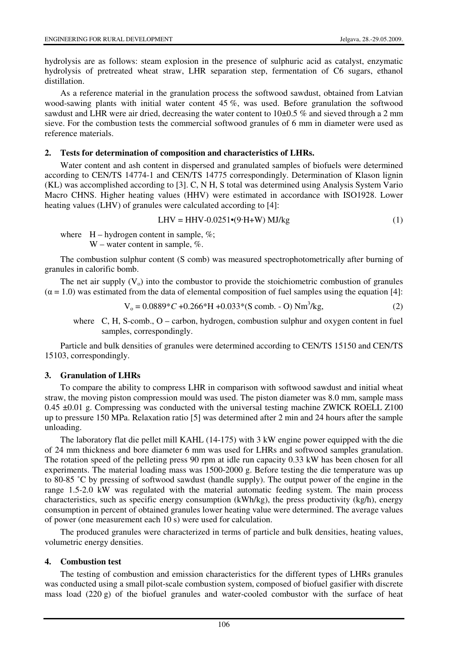hydrolysis are as follows: steam explosion in the presence of sulphuric acid as catalyst, enzymatic hydrolysis of pretreated wheat straw, LHR separation step, fermentation of C6 sugars, ethanol distillation.

As a reference material in the granulation process the softwood sawdust, obtained from Latvian wood-sawing plants with initial water content 45 %, was used. Before granulation the softwood sawdust and LHR were air dried, decreasing the water content to  $10\pm0.5$  % and sieved through a 2 mm sieve. For the combustion tests the commercial softwood granules of 6 mm in diameter were used as reference materials.

#### **2. Tests for determination of composition and characteristics of LHRs.**

Water content and ash content in dispersed and granulated samples of biofuels were determined according to CEN/TS 14774-1 and CEN/TS 14775 correspondingly. Determination of Klason lignin (KL) was accomplished according to [3]. C, N H, S total was determined using Analysis System Vario Macro CHNS. Higher heating values (HHV) were estimated in accordance with ISO1928. Lower heating values (LHV) of granules were calculated according to [4]:

$$
LHV = HHV - 0.0251 \cdot (9 \cdot H + W) MJ/kg
$$
 (1)

where  $H - hydrogen content in sample, %;$ W – water content in sample,  $\%$ .

The combustion sulphur content (S comb) was measured spectrophotometrically after burning of granules in calorific bomb.

The net air supply  $(V_0)$  into the combustor to provide the stoichiometric combustion of granules  $(\alpha = 1.0)$  was estimated from the data of elemental composition of fuel samples using the equation [4]:

$$
V_0 = 0.0889 \,^{\circ}C + 0.266 \,^{\circ}H + 0.033 \,^{\circ} (S \text{ comb. - O}) \, \text{Nm}^3/\text{kg},\tag{2}
$$

where C, H, S-comb., O – carbon, hydrogen, combustion sulphur and oxygen content in fuel samples, correspondingly.

Particle and bulk densities of granules were determined according to CEN/TS 15150 and CEN/TS 15103, correspondingly.

## **3. Granulation of LHRs**

To compare the ability to compress LHR in comparison with softwood sawdust and initial wheat straw, the moving piston compression mould was used. The piston diameter was 8.0 mm, sample mass  $0.45 \pm 0.01$  g. Compressing was conducted with the universal testing machine ZWICK ROELL Z100 up to pressure 150 MPa. Relaxation ratio [5] was determined after 2 min and 24 hours after the sample unloading.

The laboratory flat die pellet mill KAHL (14-175) with 3 kW engine power equipped with the die of 24 mm thickness and bore diameter 6 mm was used for LHRs and softwood samples granulation. The rotation speed of the pelleting press 90 rpm at idle run capacity 0.33 kW has been chosen for all experiments. The material loading mass was 1500-2000 g. Before testing the die temperature was up to 80-85 ˚C by pressing of softwood sawdust (handle supply). The output power of the engine in the range 1.5-2.0 kW was regulated with the material automatic feeding system. The main process characteristics, such as specific energy consumption (kWh/kg), the press productivity (kg/h), energy consumption in percent of obtained granules lower heating value were determined. The average values of power (one measurement each 10 s) were used for calculation.

The produced granules were characterized in terms of particle and bulk densities, heating values, volumetric energy densities.

## **4. Combustion test**

The testing of combustion and emission characteristics for the different types of LHRs granules was conducted using a small pilot-scale combustion system, composed of biofuel gasifier with discrete mass load (220 g) of the biofuel granules and water-cooled combustor with the surface of heat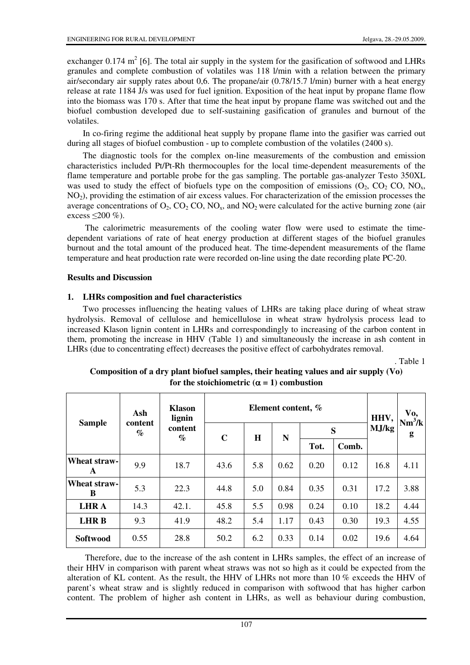exchanger 0.174  $m^2$  [6]. The total air supply in the system for the gasification of softwood and LHRs granules and complete combustion of volatiles was 118 l/min with a relation between the primary air/secondary air supply rates about 0,6. The propane/air (0.78/15.7 l/min) burner with a heat energy release at rate 1184 J/s was used for fuel ignition. Exposition of the heat input by propane flame flow into the biomass was 170 s. After that time the heat input by propane flame was switched out and the biofuel combustion developed due to self-sustaining gasification of granules and burnout of the volatiles.

In co-firing regime the additional heat supply by propane flame into the gasifier was carried out during all stages of biofuel combustion - up to complete combustion of the volatiles (2400 s).

The diagnostic tools for the complex on-line measurements of the combustion and emission characteristics included Pt/Pt-Rh thermocouples for the local time-dependent measurements of the flame temperature and portable probe for the gas sampling. The portable gas-analyzer Testo 350XL was used to study the effect of biofuels type on the composition of emissions  $(O_2, CO_2 CO, NO_x,$ NO2), providing the estimation of air excess values. For characterization of the emission processes the average concentrations of  $O_2$ ,  $CO_2$ ,  $CO_3$ , and  $NO_2$  were calculated for the active burning zone (air excess  $\leq$ 200 %).

 The calorimetric measurements of the cooling water flow were used to estimate the timedependent variations of rate of heat energy production at different stages of the biofuel granules burnout and the total amount of the produced heat. The time-dependent measurements of the flame temperature and heat production rate were recorded on-line using the date recording plate PC-20.

## **Results and Discussion**

## **1. LHRs composition and fuel characteristics**

Two processes influencing the heating values of LHRs are taking place during of wheat straw hydrolysis. Removal of cellulose and hemicellulose in wheat straw hydrolysis process lead to increased Klason lignin content in LHRs and correspondingly to increasing of the carbon content in them, promoting the increase in HHV (Table 1) and simultaneously the increase in ash content in LHRs (due to concentrating effect) decreases the positive effect of carbohydrates removal.

. Table 1

| <b>Sample</b>     | Ash<br>content<br>$\%$ | <b>Klason</b><br>lignin | Element content, % |     |      |      |       | HHV,  | Vo,<br>$Nm^3/k$ |
|-------------------|------------------------|-------------------------|--------------------|-----|------|------|-------|-------|-----------------|
|                   |                        | content<br>$\%$         | $\mathbf C$        | H   | N    | S    |       | MJ/kg | g               |
|                   |                        |                         |                    |     |      | Tot. | Comb. |       |                 |
| Wheat straw-<br>A | 9.9                    | 18.7                    | 43.6               | 5.8 | 0.62 | 0.20 | 0.12  | 16.8  | 4.11            |
| Wheat straw-<br>B | 5.3                    | 22.3                    | 44.8               | 5.0 | 0.84 | 0.35 | 0.31  | 17.2  | 3.88            |
| <b>LHRA</b>       | 14.3                   | 42.1.                   | 45.8               | 5.5 | 0.98 | 0.24 | 0.10  | 18.2  | 4.44            |
| <b>LHRB</b>       | 9.3                    | 41.9                    | 48.2               | 5.4 | 1.17 | 0.43 | 0.30  | 19.3  | 4.55            |
| Softwood          | 0.55                   | 28.8                    | 50.2               | 6.2 | 0.33 | 0.14 | 0.02  | 19.6  | 4.64            |

# **Composition of a dry plant biofuel samples, their heating values and air supply (Vo)**  for the stoichiometric  $(\alpha = 1)$  combustion

 Therefore, due to the increase of the ash content in LHRs samples, the effect of an increase of their HHV in comparison with parent wheat straws was not so high as it could be expected from the alteration of KL content. As the result, the HHV of LHRs not more than 10 % exceeds the HHV of parent's wheat straw and is slightly reduced in comparison with softwood that has higher carbon content. The problem of higher ash content in LHRs, as well as behaviour during combustion,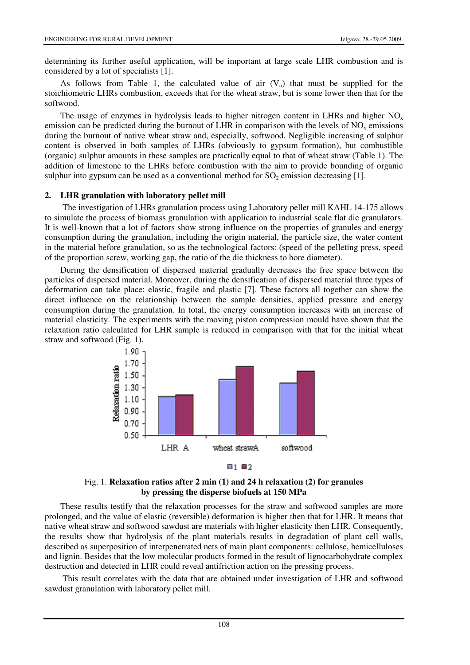determining its further useful application, will be important at large scale LHR combustion and is considered by a lot of specialists [1].

As follows from Table 1, the calculated value of air  $(V<sub>o</sub>)$  that must be supplied for the stoichiometric LHRs combustion, exceeds that for the wheat straw, but is some lower then that for the softwood.

The usage of enzymes in hydrolysis leads to higher nitrogen content in LHRs and higher  $NO<sub>x</sub>$ emission can be predicted during the burnout of LHR in comparison with the levels of  $NO<sub>x</sub>$  emissions during the burnout of native wheat straw and, especially, softwood. Negligible increasing of sulphur content is observed in both samples of LHRs (obviously to gypsum formation), but combustible (organic) sulphur amounts in these samples are practically equal to that of wheat straw (Table 1). The addition of limestone to the LHRs before combustion with the aim to provide bounding of organic sulphur into gypsum can be used as a conventional method for  $SO_2$  emission decreasing [1].

#### **2. LHR granulation with laboratory pellet mill**

 The investigation of LHRs granulation process using Laboratory pellet mill KAHL 14-175 allows to simulate the process of biomass granulation with application to industrial scale flat die granulators. It is well-known that a lot of factors show strong influence on the properties of granules and energy consumption during the granulation, including the origin material, the particle size, the water content in the material before granulation, so as the technological factors: (speed of the pelleting press, speed of the proportion screw, working gap, the ratio of the die thickness to bore diameter).

During the densification of dispersed material gradually decreases the free space between the particles of dispersed material. Moreover, during the densification of dispersed material three types of deformation can take place: elastic, fragile and plastic [7]. These factors all together can show the direct influence on the relationship between the sample densities, applied pressure and energy consumption during the granulation. In total, the energy consumption increases with an increase of material elasticity. The experiments with the moving piston compression mould have shown that the relaxation ratio calculated for LHR sample is reduced in comparison with that for the initial wheat straw and softwood (Fig. 1).





## Fig. 1. **Relaxation ratios after 2 min (1) and 24 h relaxation (2) for granules by pressing the disperse biofuels at 150 MPa**

These results testify that the relaxation processes for the straw and softwood samples are more prolonged, and the value of elastic (reversible) deformation is higher then that for LHR. It means that native wheat straw and softwood sawdust are materials with higher elasticity then LHR. Consequently, the results show that hydrolysis of the plant materials results in degradation of plant cell walls, described as superposition of interpenetrated nets of main plant components: cellulose, hemicelluloses and lignin. Besides that the low molecular products formed in the result of lignocarbohydrate complex destruction and detected in LHR could reveal antifriction action on the pressing process.

 This result correlates with the data that are obtained under investigation of LHR and softwood sawdust granulation with laboratory pellet mill.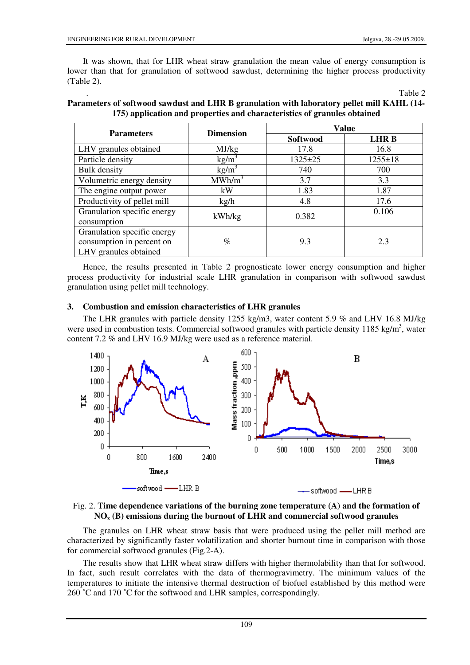It was shown, that for LHR wheat straw granulation the mean value of energy consumption is lower than that for granulation of softwood sawdust, determining the higher process productivity (Table 2).

. Table 2

|                                                                                   |                    | Value         |               |  |  |
|-----------------------------------------------------------------------------------|--------------------|---------------|---------------|--|--|
| <b>Parameters</b>                                                                 | <b>Dimension</b>   | Softwood      | <b>LHRB</b>   |  |  |
| LHV granules obtained                                                             | MJ/kg              | 17.8          | 16.8          |  |  |
| Particle density                                                                  | $\text{kg/m}^3$    | $1325 \pm 25$ | $1255 \pm 18$ |  |  |
| Bulk density                                                                      | kg/m <sup>3</sup>  | 740           | 700           |  |  |
| Volumetric energy density                                                         | MWh/m <sup>3</sup> | 3.7           | 3.3           |  |  |
| The engine output power                                                           | kW                 | 1.83          | 1.87          |  |  |
| Productivity of pellet mill                                                       | kg/h               | 4.8           | 17.6          |  |  |
| Granulation specific energy<br>consumption                                        | kWh/kg             | 0.382         | 0.106         |  |  |
| Granulation specific energy<br>consumption in percent on<br>LHV granules obtained | $\%$               | 9.3           | 2.3           |  |  |

## **Parameters of softwood sawdust and LHR B granulation with laboratory pellet mill KAHL (14- 175) application and properties and characteristics of granules obtained**

Hence, the results presented in Table 2 prognosticate lower energy consumption and higher process productivity for industrial scale LHR granulation in comparison with softwood sawdust granulation using pellet mill technology.

## **3. Combustion and emission characteristics of LHR granules**

The LHR granules with particle density 1255 kg/m3, water content 5.9 % and LHV 16.8 MJ/kg were used in combustion tests. Commercial softwood granules with particle density 1185 kg/m<sup>3</sup>, water content 7.2 % and LHV 16.9 MJ/kg were used as a reference material.



#### Fig. 2. **Time dependence variations of the burning zone temperature (A) and the formation of NOx (B) emissions during the burnout of LHR and commercial softwood granules**

The granules on LHR wheat straw basis that were produced using the pellet mill method are characterized by significantly faster volatilization and shorter burnout time in comparison with those for commercial softwood granules (Fig.2-A).

The results show that LHR wheat straw differs with higher thermolability than that for softwood. In fact, such result correlates with the data of thermogravimetry. The minimum values of the temperatures to initiate the intensive thermal destruction of biofuel established by this method were 260 ˚C and 170 ˚C for the softwood and LHR samples, correspondingly.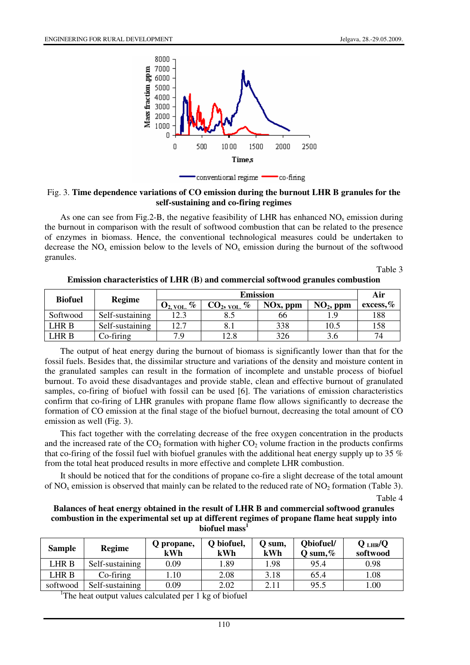

#### Fig. 3. **Time dependence variations of CO emission during the burnout LHR B granules for the self-sustaining and co-firing regimes**

As one can see from Fig.2-B, the negative feasibility of LHR has enhanced  $NO<sub>x</sub>$  emission during the burnout in comparison with the result of softwood combustion that can be related to the presence of enzymes in biomass. Hence, the conventional technological measures could be undertaken to decrease the  $NO<sub>x</sub>$  emission below to the levels of  $NO<sub>x</sub>$  emission during the burnout of the softwood granules.

Table 3

| Emission characteristics of LHR (B) and commercial softwood granules combustion |  |  |  |
|---------------------------------------------------------------------------------|--|--|--|
|---------------------------------------------------------------------------------|--|--|--|

| <b>Biofuel</b> |                 |                         | Air             |             |             |              |
|----------------|-----------------|-------------------------|-----------------|-------------|-------------|--------------|
|                | <b>Regime</b>   | $O_{2, \text{ VOL.}}$ % | $CO_2$ , vol. % | $NOx$ , ppm | $NO2$ , ppm | excess, $\%$ |
| Softwood       | Self-sustaining | 12.3                    |                 | 66          |             | 188          |
| LHR B          | Self-sustaining | 12.7                    | 8.1             | 338         | 10.5        | 158          |
| LHR B          | $Co$ -firing    | 7.9                     | 12.8            | 326         | 3.6         | 74           |

The output of heat energy during the burnout of biomass is significantly lower than that for the fossil fuels. Besides that, the dissimilar structure and variations of the density and moisture content in the granulated samples can result in the formation of incomplete and unstable process of biofuel burnout. To avoid these disadvantages and provide stable, clean and effective burnout of granulated samples, co-firing of biofuel with fossil can be used [6]. The variations of emission characteristics confirm that co-firing of LHR granules with propane flame flow allows significantly to decrease the formation of CO emission at the final stage of the biofuel burnout, decreasing the total amount of CO emission as well (Fig. 3).

This fact together with the correlating decrease of the free oxygen concentration in the products and the increased rate of the  $CO<sub>2</sub>$  formation with higher  $CO<sub>2</sub>$  volume fraction in the products confirms that co-firing of the fossil fuel with biofuel granules with the additional heat energy supply up to 35 % from the total heat produced results in more effective and complete LHR combustion.

It should be noticed that for the conditions of propane co-fire a slight decrease of the total amount of NO<sub>x</sub> emission is observed that mainly can be related to the reduced rate of NO<sub>2</sub> formation (Table 3).

Table 4

#### **Balances of heat energy obtained in the result of LHR B and commercial softwood granules combustion in the experimental set up at different regimes of propane flame heat supply into biofuel mass<sup>1</sup>**

| <b>Sample</b> | <b>Regime</b>   | Q propane,<br>kWh | O biofuel,<br>kWh | Q sum,<br>kWh | Obiofuel/<br>Q sum, $%$ | $Q$ LHR/ $Q$<br>softwood |
|---------------|-----------------|-------------------|-------------------|---------------|-------------------------|--------------------------|
| LHR B         | Self-sustaining | 0.09              | .89               | l.98          | 95.4                    | 0.98                     |
| LHR B         | $Co-firing$     | .10               | 2.08              | 3.18          | 65.4                    | 1.08                     |
| softwood      | Self-sustaining | 0.09              | 2.02              | 2.11          | 95.5                    | 1.00                     |

<sup>1</sup>The heat output values calculated per 1 kg of biofuel